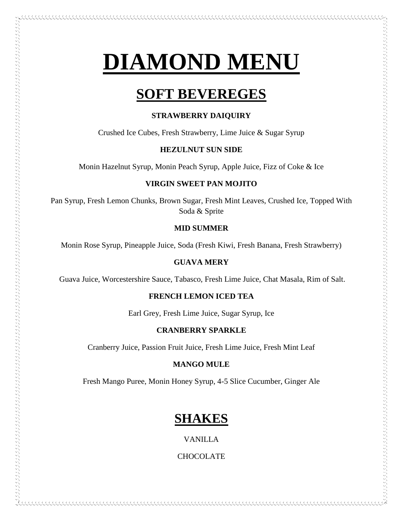# **DIAMOND MENU**

# **SOFT BEVEREGES**

# **STRAWBERRY DAIQUIRY**

Crushed Ice Cubes, Fresh Strawberry, Lime Juice & Sugar Syrup

# **HEZULNUT SUN SIDE**

Monin Hazelnut Syrup, Monin Peach Syrup, Apple Juice, Fizz of Coke & Ice

# **VIRGIN SWEET PAN MOJITO**

Pan Syrup, Fresh Lemon Chunks, Brown Sugar, Fresh Mint Leaves, Crushed Ice, Topped With Soda & Sprite

# **MID SUMMER**

Monin Rose Syrup, Pineapple Juice, Soda (Fresh Kiwi, Fresh Banana, Fresh Strawberry)

# **GUAVA MERY**

Guava Juice, Worcestershire Sauce, Tabasco, Fresh Lime Juice, Chat Masala, Rim of Salt.

# **FRENCH LEMON ICED TEA**

Earl Grey, Fresh Lime Juice, Sugar Syrup, Ice

# **CRANBERRY SPARKLE**

Cranberry Juice, Passion Fruit Juice, Fresh Lime Juice, Fresh Mint Leaf

# **MANGO MULE**

Fresh Mango Puree, Monin Honey Syrup, 4-5 Slice Cucumber, Ginger Ale

# **SHAKES**

VANILLA

CHOCOLATE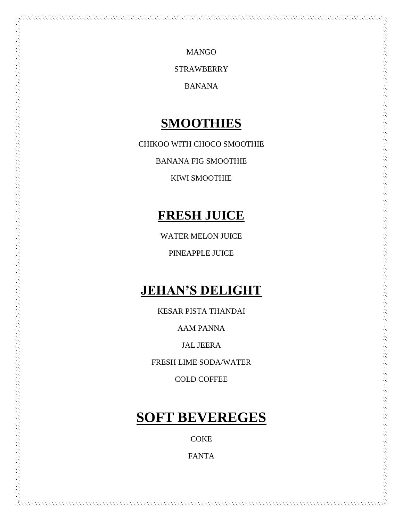MANGO

**STRAWBERRY** 

BANANA

# **SMOOTHIES**

CHIKOO WITH CHOCO SMOOTHIE

BANANA FIG SMOOTHIE

KIWI SMOOTHIE

# **FRESH JUICE**

WATER MELON JUICE

PINEAPPLE JUICE

# **JEHAN'S DELIGHT**

KESAR PISTA THANDAI

AAM PANNA

JAL JEERA

FRESH LIME SODA/WATER

COLD COFFEE

# **SOFT BEVEREGES**

**COKE** 

FANTA

KKAKAKAKAKAKAKAKAKAKAKAKAKAKAKA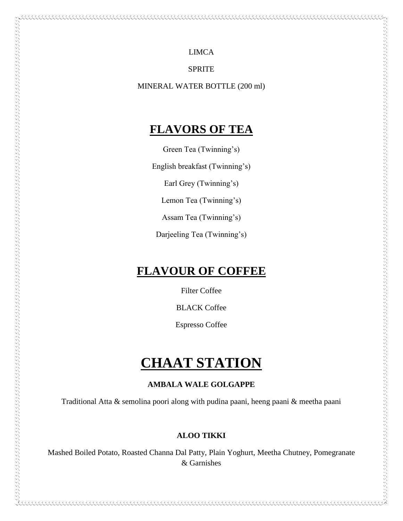LIMCA

SPRITE

MINERAL WATER BOTTLE (200 ml)

# **FLAVORS OF TEA**

Green Tea (Twinning's)

English breakfast (Twinning's)

Earl Grey (Twinning's)

Lemon Tea (Twinning's)

Assam Tea (Twinning's)

Darjeeling Tea (Twinning's)

# **FLAVOUR OF COFFEE**

 $\sim$  , and a construction of the construction of the construction of the construction of the construction of the construction of the construction of the construction of the construction of the construction of the construc

Filter Coffee

BLACK Coffee

Espresso Coffee

# **CHAAT STATION**

# **AMBALA WALE GOLGAPPE**

Traditional Atta & semolina poori along with pudina paani, heeng paani & meetha paani

# **ALOO TIKKI**

Mashed Boiled Potato, Roasted Channa Dal Patty, Plain Yoghurt, Meetha Chutney, Pomegranate & Garnishes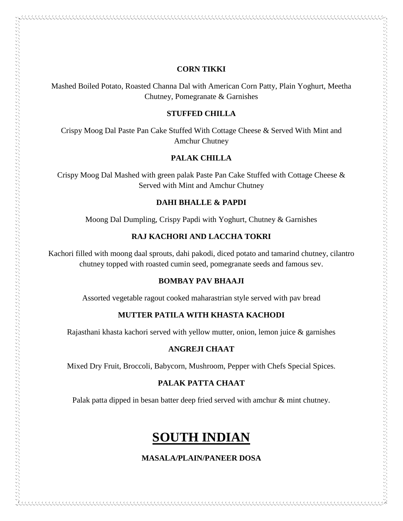# **CORN TIKKI**

Mashed Boiled Potato, Roasted Channa Dal with American Corn Patty, Plain Yoghurt, Meetha Chutney, Pomegranate & Garnishes

#### **STUFFED CHILLA**

Crispy Moog Dal Paste Pan Cake Stuffed With Cottage Cheese & Served With Mint and Amchur Chutney

### **PALAK CHILLA**

Crispy Moog Dal Mashed with green palak Paste Pan Cake Stuffed with Cottage Cheese & Served with Mint and Amchur Chutney

# **DAHI BHALLE & PAPDI**

Moong Dal Dumpling, Crispy Papdi with Yoghurt, Chutney & Garnishes

# **RAJ KACHORI AND LACCHA TOKRI**

Kachori filled with moong daal sprouts, dahi pakodi, diced potato and tamarind chutney, cilantro chutney topped with roasted cumin seed, pomegranate seeds and famous sev.

#### **BOMBAY PAV BHAAJI**

Assorted vegetable ragout cooked maharastrian style served with pav bread

# **MUTTER PATILA WITH KHASTA KACHODI**

Rajasthani khasta kachori served with yellow mutter, onion, lemon juice & garnishes

### **ANGREJI CHAAT**

Mixed Dry Fruit, Broccoli, Babycorn, Mushroom, Pepper with Chefs Special Spices.

### **PALAK PATTA CHAAT**

Palak patta dipped in besan batter deep fried served with amchur & mint chutney.

# **SOUTH INDIAN**

### **MASALA/PLAIN/PANEER DOSA**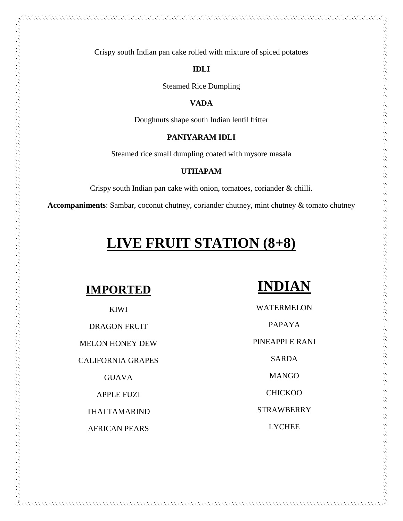# **IDLI**

Steamed Rice Dumpling

# **VADA**

Doughnuts shape south Indian lentil fritter

# **PANIYARAM IDLI**

Steamed rice small dumpling coated with mysore masala

# **UTHAPAM**

Crispy south Indian pan cake with onion, tomatoes, coriander & chilli.

**Accompaniments**: Sambar, coconut chutney, coriander chutney, mint chutney & tomato chutney

# **LIVE FRUIT STATION (8+8)**

# **IMPORTED**

 $\sim$  and the complex states of the complex states and the complex states of the complex states of the complex states of the complex states of the complex states of the complex states of the complex states of the complex s

### KIWI

DRAGON FRUIT MELON HONEY DEW CALIFORNIA GRAPES GUAVA

APPLE FUZI

THAI TAMARIND

AFRICAN PEARS

# **INDIAN**

WATERMELON PAPAYA PINEAPPLE RANI SARDA MANGO

**CHICKOO** 

STRAWBERRY

LYCHEE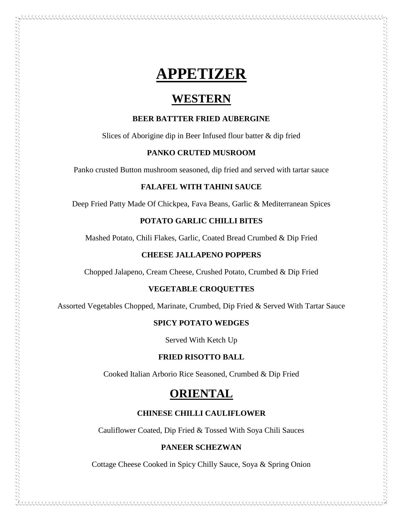# **APPETIZER**

# **WESTERN**

# **BEER BATTTER FRIED AUBERGINE**

Slices of Aborigine dip in Beer Infused flour batter & dip fried

# **PANKO CRUTED MUSROOM**

Panko crusted Button mushroom seasoned, dip fried and served with tartar sauce

### **FALAFEL WITH TAHINI SAUCE**

Deep Fried Patty Made Of Chickpea, Fava Beans, Garlic & Mediterranean Spices

# **POTATO GARLIC CHILLI BITES**

Mashed Potato, Chili Flakes, Garlic, Coated Bread Crumbed & Dip Fried

# **CHEESE JALLAPENO POPPERS**

いちのうしょう しょうしょう アイディング こうしょう こうしょう こうしょう こうしょう こうしょう こうしょう こうしょう こうしょう こうしょう こうしょう しょうしょう しょうしょう しょうしょう しょうしょう しょうしょう しょうしょう しょうしょう しょうしょう しょうしょう しょうしょう しょうしょう しょうしょう しょうしょう しょうしょう しょうしょう

Chopped Jalapeno, Cream Cheese, Crushed Potato, Crumbed & Dip Fried

#### **VEGETABLE CROQUETTES**

Assorted Vegetables Chopped, Marinate, Crumbed, Dip Fried & Served With Tartar Sauce

# **SPICY POTATO WEDGES**

Served With Ketch Up

#### **FRIED RISOTTO BALL**

Cooked Italian Arborio Rice Seasoned, Crumbed & Dip Fried

# **ORIENTAL**

# **CHINESE CHILLI CAULIFLOWER**

Cauliflower Coated, Dip Fried & Tossed With Soya Chili Sauces

### **PANEER SCHEZWAN**

Cottage Cheese Cooked in Spicy Chilly Sauce, Soya & Spring Onion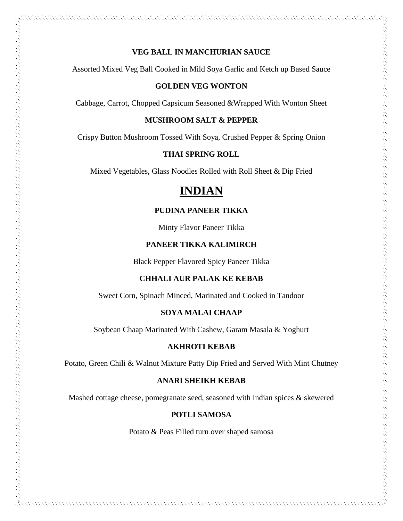# **VEG BALL IN MANCHURIAN SAUCE**

Assorted Mixed Veg Ball Cooked in Mild Soya Garlic and Ketch up Based Sauce

### **GOLDEN VEG WONTON**

Cabbage, Carrot, Chopped Capsicum Seasoned &Wrapped With Wonton Sheet

# **MUSHROOM SALT & PEPPER**

Crispy Button Mushroom Tossed With Soya, Crushed Pepper & Spring Onion

# **THAI SPRING ROLL**

Mixed Vegetables, Glass Noodles Rolled with Roll Sheet & Dip Fried

# **INDIAN**

# **PUDINA PANEER TIKKA**

Minty Flavor Paneer Tikka

# **PANEER TIKKA KALIMIRCH**

Black Pepper Flavored Spicy Paneer Tikka

# **CHHALI AUR PALAK KE KEBAB**

Sweet Corn, Spinach Minced, Marinated and Cooked in Tandoor

#### **SOYA MALAI CHAAP**

Soybean Chaap Marinated With Cashew, Garam Masala & Yoghurt

#### **AKHROTI KEBAB**

Potato, Green Chili & Walnut Mixture Patty Dip Fried and Served With Mint Chutney

# **ANARI SHEIKH KEBAB**

Mashed cottage cheese, pomegranate seed, seasoned with Indian spices & skewered

# **POTLI SAMOSA**

Potato & Peas Filled turn over shaped samosa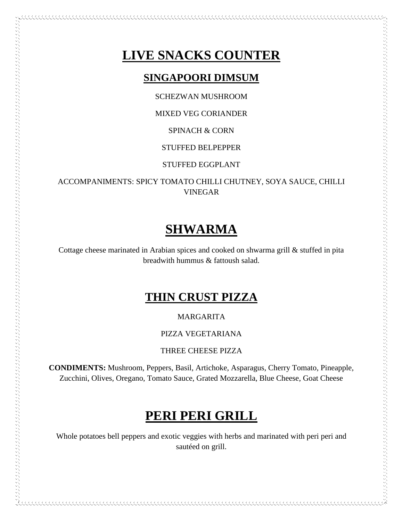# **LIVE SNACKS COUNTER**

# **SINGAPOORI DIMSUM**

SCHEZWAN MUSHROOM

# MIXED VEG CORIANDER

SPINACH & CORN

# STUFFED BELPEPPER

STUFFED EGGPLANT

ACCOMPANIMENTS: SPICY TOMATO CHILLI CHUTNEY, SOYA SAUCE, CHILLI VINEGAR

# **SHWARMA**

Cottage cheese marinated in Arabian spices and cooked on shwarma grill & stuffed in pita breadwith hummus & fattoush salad.

# **THIN CRUST PIZZA**

MARGARITA

PIZZA VEGETARIANA

THREE CHEESE PIZZA

**CONDIMENTS:** Mushroom, Peppers, Basil, Artichoke, Asparagus, Cherry Tomato, Pineapple, Zucchini, Olives, Oregano, Tomato Sauce, Grated Mozzarella, Blue Cheese, Goat Cheese

# **PERI PERI GRILL**

Whole potatoes bell peppers and exotic veggies with herbs and marinated with peri peri and sautéed on grill.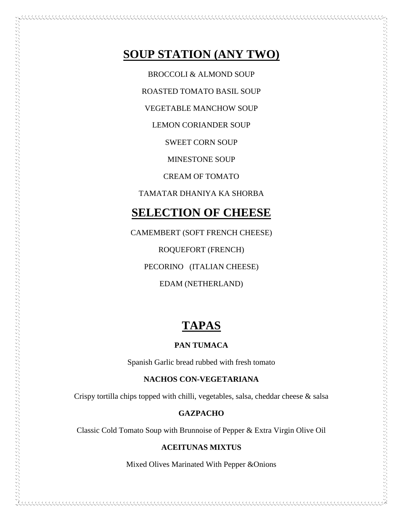# **SOUP STATION (ANY TWO)**

BROCCOLI & ALMOND SOUP

ROASTED TOMATO BASIL SOUP

VEGETABLE MANCHOW SOUP

LEMON CORIANDER SOUP

SWEET CORN SOUP

MINESTONE SOUP

CREAM OF TOMATO

TAMATAR DHANIYA KA SHORBA

# **SELECTION OF CHEESE**

CAMEMBERT (SOFT FRENCH CHEESE) ROQUEFORT (FRENCH) PECORINO (ITALIAN CHEESE) EDAM (NETHERLAND)

アルフィング アンディング アンディング アンディング アンディング アンディング アンディング アンディング アンディング アンディング アンディング アンディング アンディング アンディング アンディング・アンディング アンディング アンディング アンディング アンディング アンディング アンディング アンディング アンディング アンディング アンディング アンディング

# **TAPAS**

# **PAN TUMACA**

Spanish Garlic bread rubbed with fresh tomato

#### **NACHOS CON-VEGETARIANA**

Crispy tortilla chips topped with chilli, vegetables, salsa, cheddar cheese & salsa

# **GAZPACHO**

Classic Cold Tomato Soup with Brunnoise of Pepper & Extra Virgin Olive Oil

# **ACEITUNAS MIXTUS**

Mixed Olives Marinated With Pepper &Onions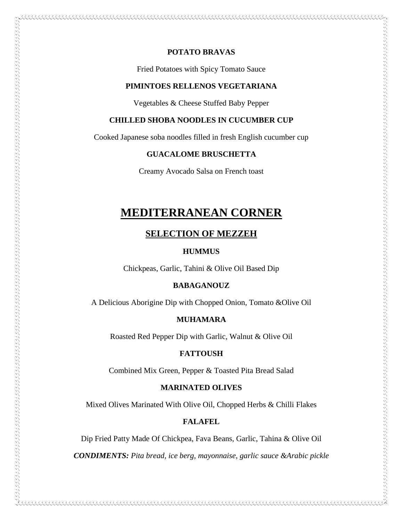# **POTATO BRAVAS**

Fried Potatoes with Spicy Tomato Sauce

#### **PIMINTOES RELLENOS VEGETARIANA**

Vegetables & Cheese Stuffed Baby Pepper

# **CHILLED SHOBA NOODLES IN CUCUMBER CUP**

Cooked Japanese soba noodles filled in fresh English cucumber cup

#### **GUACALOME BRUSCHETTA**

Creamy Avocado Salsa on French toast

# **MEDITERRANEAN CORNER**

# **SELECTION OF MEZZEH**

### **HUMMUS**

Chickpeas, Garlic, Tahini & Olive Oil Based Dip

 $\sim$  and  $\sim$  and  $\sim$  and  $\sim$  and  $\sim$  and  $\sim$  and  $\sim$  and  $\sim$  and  $\sim$  and  $\sim$  and  $\sim$  and  $\sim$  and  $\sim$  and  $\sim$  and  $\sim$ 

#### **BABAGANOUZ**

A Delicious Aborigine Dip with Chopped Onion, Tomato &Olive Oil

# **MUHAMARA**

Roasted Red Pepper Dip with Garlic, Walnut & Olive Oil

#### **FATTOUSH**

Combined Mix Green, Pepper & Toasted Pita Bread Salad

#### **MARINATED OLIVES**

Mixed Olives Marinated With Olive Oil, Chopped Herbs & Chilli Flakes

# **FALAFEL**

Dip Fried Patty Made Of Chickpea, Fava Beans, Garlic, Tahina & Olive Oil

*CONDIMENTS: Pita bread, ice berg, mayonnaise, garlic sauce &Arabic pickle*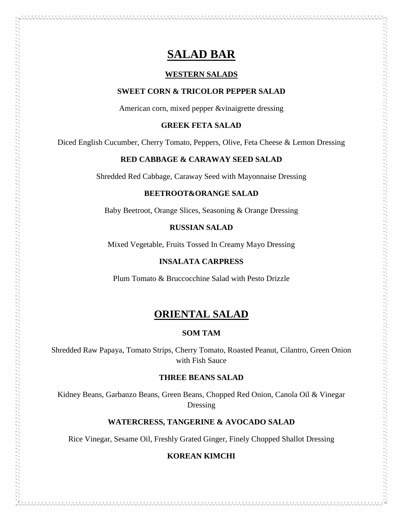# **SALAD BAR**

### **WESTERN SALADS**

### **SWEET CORN & TRICOLOR PEPPER SALAD**

American corn, mixed pepper &vinaigrette dressing

#### **GREEK FETA SALAD**

Diced English Cucumber, Cherry Tomato, Peppers, Olive, Feta Cheese & Lemon Dressing

# **RED CABBAGE & CARAWAY SEED SALAD**

Shredded Red Cabbage, Caraway Seed with Mayonnaise Dressing

### **BEETROOT&ORANGE SALAD**

Baby Beetroot, Orange Slices, Seasoning & Orange Dressing

#### **RUSSIAN SALAD**

Mixed Vegetable, Fruits Tossed In Creamy Mayo Dressing

# **INSALATA CARPRESS**

Plum Tomato & Bruccocchine Salad with Pesto Drizzle

# **ORIENTAL SALAD**

# **SOM TAM**

Shredded Raw Papaya, Tomato Strips, Cherry Tomato, Roasted Peanut, Cilantro, Green Onion with Fish Sauce

# **THREE BEANS SALAD**

Kidney Beans, Garbanzo Beans, Green Beans, Chopped Red Onion, Canola Oil & Vinegar Dressing

### **WATERCRESS, TANGERINE & AVOCADO SALAD**

Rice Vinegar, Sesame Oil, Freshly Grated Ginger, Finely Chopped Shallot Dressing

# **KOREAN KIMCHI**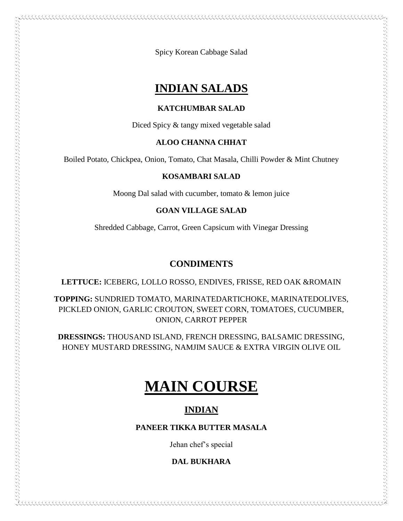Spicy Korean Cabbage Salad

# **INDIAN SALADS**

# **KATCHUMBAR SALAD**

Diced Spicy & tangy mixed vegetable salad

# **ALOO CHANNA CHHAT**

Boiled Potato, Chickpea, Onion, Tomato, Chat Masala, Chilli Powder & Mint Chutney

# **KOSAMBARI SALAD**

Moong Dal salad with cucumber, tomato & lemon juice

# **GOAN VILLAGE SALAD**

Shredded Cabbage, Carrot, Green Capsicum with Vinegar Dressing

# **CONDIMENTS**

**LETTUCE:** ICEBERG, LOLLO ROSSO, ENDIVES, FRISSE, RED OAK &ROMAIN

**TOPPING:** SUNDRIED TOMATO, MARINATEDARTICHOKE, MARINATEDOLIVES, PICKLED ONION, GARLIC CROUTON, SWEET CORN, TOMATOES, CUCUMBER, ONION, CARROT PEPPER

**DRESSINGS:** THOUSAND ISLAND, FRENCH DRESSING, BALSAMIC DRESSING, HONEY MUSTARD DRESSING, NAMJIM SAUCE & EXTRA VIRGIN OLIVE OIL

# **MAIN COURSE**

# **INDIAN**

# **PANEER TIKKA BUTTER MASALA**

Jehan chef's special

# **DAL BUKHARA**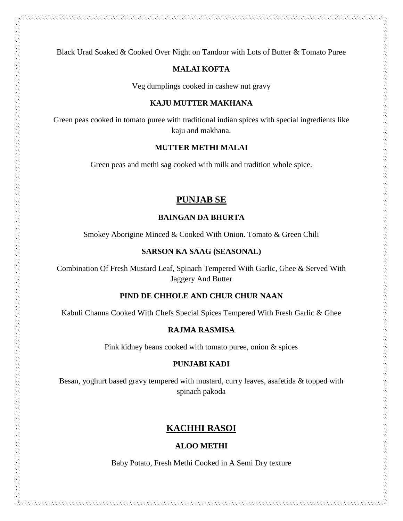Black Urad Soaked & Cooked Over Night on Tandoor with Lots of Butter & Tomato Puree

# **MALAI KOFTA**

Veg dumplings cooked in cashew nut gravy

#### **KAJU MUTTER MAKHANA**

Green peas cooked in tomato puree with traditional indian spices with special ingredients like kaju and makhana.

#### **MUTTER METHI MALAI**

Green peas and methi sag cooked with milk and tradition whole spice.

# **PUNJAB SE**

# **BAINGAN DA BHURTA**

Smokey Aborigine Minced & Cooked With Onion. Tomato & Green Chili

#### **SARSON KA SAAG (SEASONAL)**

Combination Of Fresh Mustard Leaf, Spinach Tempered With Garlic, Ghee & Served With Jaggery And Butter

#### **PIND DE CHHOLE AND CHUR CHUR NAAN**

Kabuli Channa Cooked With Chefs Special Spices Tempered With Fresh Garlic & Ghee

# **RAJMA RASMISA**

Pink kidney beans cooked with tomato puree, onion & spices

#### **PUNJABI KADI**

Besan, yoghurt based gravy tempered with mustard, curry leaves, asafetida & topped with spinach pakoda

# **KACHHI RASOI**

# **ALOO METHI**

Baby Potato, Fresh Methi Cooked in A Semi Dry texture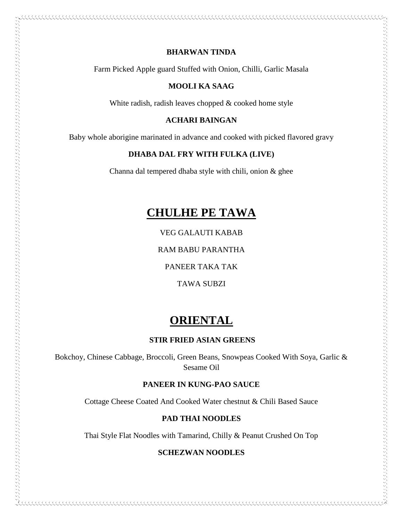# **BHARWAN TINDA**

.......................

Farm Picked Apple guard Stuffed with Onion, Chilli, Garlic Masala

### **MOOLI KA SAAG**

White radish, radish leaves chopped & cooked home style

# **ACHARI BAINGAN**

Baby whole aborigine marinated in advance and cooked with picked flavored gravy

### **DHABA DAL FRY WITH FULKA (LIVE)**

Channa dal tempered dhaba style with chili, onion & ghee

# **CHULHE PE TAWA**

VEG GALAUTI KABAB

RAM BABU PARANTHA

PANEER TAKA TAK

TAWA SUBZI

# **ORIENTAL**

# **STIR FRIED ASIAN GREENS**

Bokchoy, Chinese Cabbage, Broccoli, Green Beans, Snowpeas Cooked With Soya, Garlic & Sesame Oil

# **PANEER IN KUNG-PAO SAUCE**

Cottage Cheese Coated And Cooked Water chestnut & Chili Based Sauce

#### **PAD THAI NOODLES**

Thai Style Flat Noodles with Tamarind, Chilly & Peanut Crushed On Top

# **SCHEZWAN NOODLES**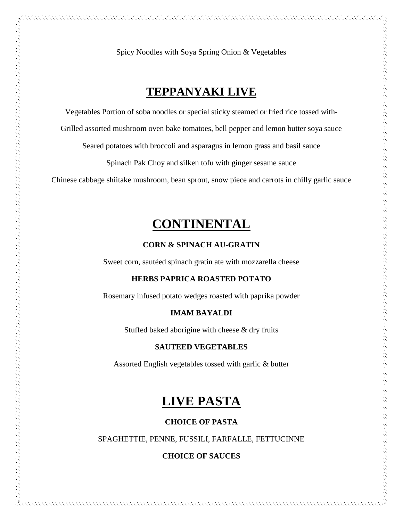Spicy Noodles with Soya Spring Onion & Vegetables

# **TEPPANYAKI LIVE**

Vegetables Portion of soba noodles or special sticky steamed or fried rice tossed with-

Grilled assorted mushroom oven bake tomatoes, bell pepper and lemon butter soya sauce

Seared potatoes with broccoli and asparagus in lemon grass and basil sauce

Spinach Pak Choy and silken tofu with ginger sesame sauce

Chinese cabbage shiitake mushroom, bean sprout, snow piece and carrots in chilly garlic sauce

# **CONTINENTAL**

### **CORN & SPINACH AU-GRATIN**

Sweet corn, sautéed spinach gratin ate with mozzarella cheese

 $\sim$  and the complete state of the complete state of the complete state of the complete state of the complete state of the complete state of the complete state of the complete state of the complete state of the complete s

# **HERBS PAPRICA ROASTED POTATO**

Rosemary infused potato wedges roasted with paprika powder

#### **IMAM BAYALDI**

Stuffed baked aborigine with cheese & dry fruits

#### **SAUTEED VEGETABLES**

Assorted English vegetables tossed with garlic & butter

# **LIVE PASTA**

#### **CHOICE OF PASTA**

### SPAGHETTIE, PENNE, FUSSILI, FARFALLE, FETTUCINNE

### **CHOICE OF SAUCES**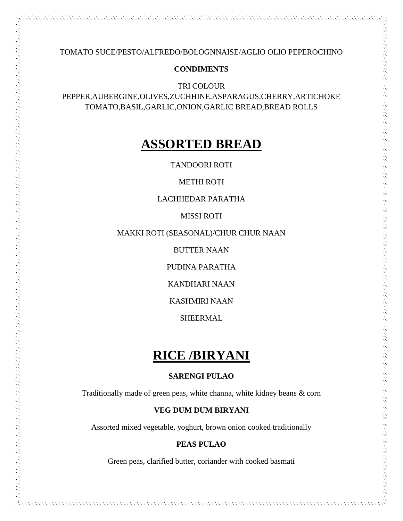TOMATO SUCE/PESTO/ALFREDO/BOLOGNNAISE/AGLIO OLIO PEPEROCHINO

# **CONDIMENTS**

TRI COLOUR PEPPER,AUBERGINE,OLIVES,ZUCHHINE,ASPARAGUS,CHERRY,ARTICHOKE TOMATO,BASIL,GARLIC,ONION,GARLIC BREAD,BREAD ROLLS

# **ASSORTED BREAD**

TANDOORI ROTI

METHI ROTI

### LACHHEDAR PARATHA

MISSI ROTI

MAKKI ROTI (SEASONAL)/CHUR CHUR NAAN

BUTTER NAAN

PUDINA PARATHA

KANDHARI NAAN

KASHMIRI NAAN

SHEERMAL

# **RICE /BIRYANI**

# **SARENGI PULAO**

Traditionally made of green peas, white channa, white kidney beans & corn

### **VEG DUM DUM BIRYANI**

Assorted mixed vegetable, yoghurt, brown onion cooked traditionally

# **PEAS PULAO**

Green peas, clarified butter, coriander with cooked basmati

\*\*\*\*\*\*\*\*\*\*\*\*\*\*\*\*\*\*\*\*\*\*\*\*\*\*\*\*\*\*\*\*\*\*\*\*\*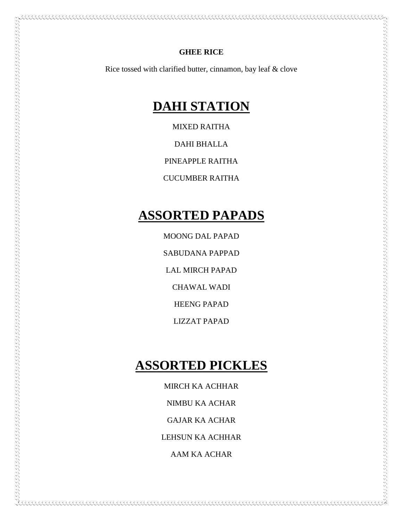# **GHEE RICE**

AAAAAAAAAAAAAAAAAAAAAAAAAAAAAAAAAAAAA

Rice tossed with clarified butter, cinnamon, bay leaf & clove

# **DAHI STATION**

MIXED RAITHA

DAHI BHALLA

PINEAPPLE RAITHA

CUCUMBER RAITHA

# **ASSORTED PAPADS**

MOONG DAL PAPAD SABUDANA PAPPAD LAL MIRCH PAPAD CHAWAL WADI HEENG PAPAD LIZZAT PAPAD

# **ASSORTED PICKLES**

MIRCH KA ACHHAR NIMBU KA ACHAR GAJAR KA ACHAR LEHSUN KA ACHHAR AAM KA ACHAR

AAAAAAAAAAAAAAAAAAAAAAAAAAAAAAAAA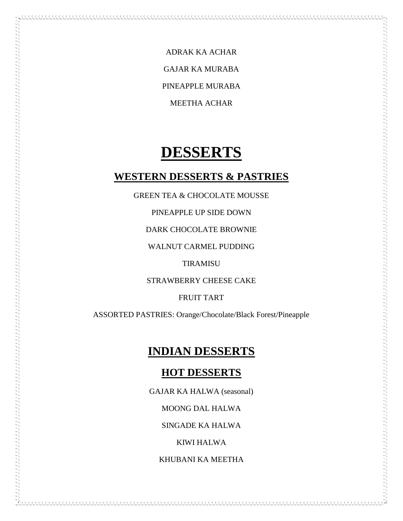ADRAK KA ACHAR GAJAR KA MURABA PINEAPPLE MURABA MEETHA ACHAR

# **DESSERTS**

# **WESTERN DESSERTS & PASTRIES**

GREEN TEA & CHOCOLATE MOUSSE

PINEAPPLE UP SIDE DOWN

DARK CHOCOLATE BROWNIE

WALNUT CARMEL PUDDING

TIRAMISU

STRAWBERRY CHEESE CAKE

FRUIT TART

ASSORTED PASTRIES: Orange/Chocolate/Black Forest/Pineapple

# **INDIAN DESSERTS**

# **HOT DESSERTS**

GAJAR KA HALWA (seasonal)

MOONG DAL HALWA

SINGADE KA HALWA

KIWI HALWA

KHUBANI KA MEETHA

KKKKKKKKKKKKKKKKKKKKKKKKKKKKKK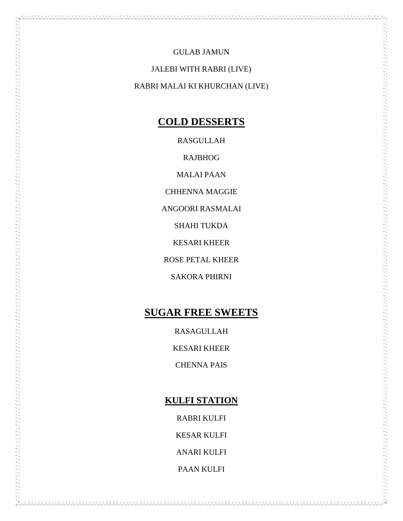GULAB JAMUN

JALEBI WITH RABRI (LIVE)

RABRI MALAI KI KHURCHAN (LIVE)

# **COLD DESSERTS**

RASGULLAH

RAJBHOG

MALAI PAAN

CHHENNA MAGGIE

ANGOORI RASMALAI

SHAHI TUKDA

KESARI KHEER

ROSE PETAL KHEER

SAKORA PHIRNI

# **SUGAR FREE SWEETS**

RASAGULLAH

KESARI KHEER

CHENNA PAIS

# **KULFI STATION**

RABRI KULFI

KESAR KULFI

ANARI KULFI

PAAN KULFI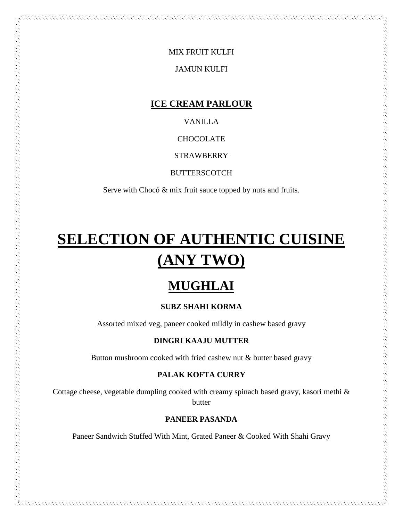# MIX FRUIT KULFI

# JAMUN KULFI

# **ICE CREAM PARLOUR**

VANILLA

**CHOCOLATE** 

**STRAWBERRY** 

BUTTERSCOTCH

Serve with Chocó & mix fruit sauce topped by nuts and fruits.

# **SELECTION OF AUTHENTIC CUISINE (ANY TWO)**

しょうしょう きょうこう こうこうこう こうこうこう こうこう こうきょう アイディング アイディング アイディング アイディング アイディング アイディング アイディング アイディング アイディング アイディング・ファイン アイディング・ファイン アイディング・ファイン アイディング・ファイン アイディング・ファイン アイディング・ファイン アイディング・ファイン

# **MUGHLAI**

# **SUBZ SHAHI KORMA**

Assorted mixed veg, paneer cooked mildly in cashew based gravy

# **DINGRI KAAJU MUTTER**

Button mushroom cooked with fried cashew nut & butter based gravy

# **PALAK KOFTA CURRY**

Cottage cheese, vegetable dumpling cooked with creamy spinach based gravy, kasori methi & butter

# **PANEER PASANDA**

Paneer Sandwich Stuffed With Mint, Grated Paneer & Cooked With Shahi Gravy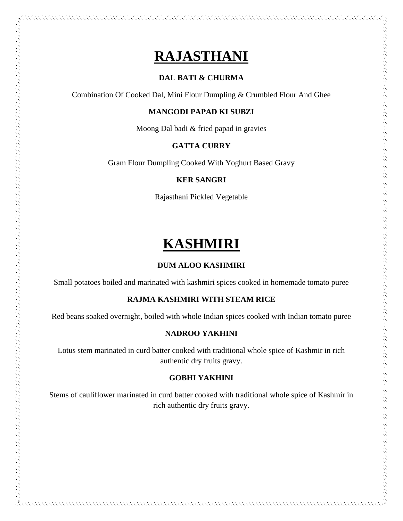# **RAJASTHANI**

# **DAL BATI & CHURMA**

Combination Of Cooked Dal, Mini Flour Dumpling & Crumbled Flour And Ghee

# **MANGODI PAPAD KI SUBZI**

Moong Dal badi & fried papad in gravies

# **GATTA CURRY**

Gram Flour Dumpling Cooked With Yoghurt Based Gravy

# **KER SANGRI**

Rajasthani Pickled Vegetable

# **KASHMIRI**

# **DUM ALOO KASHMIRI**

Small potatoes boiled and marinated with kashmiri spices cooked in homemade tomato puree

# **RAJMA KASHMIRI WITH STEAM RICE**

Red beans soaked overnight, boiled with whole Indian spices cooked with Indian tomato puree

# **NADROO YAKHINI**

Lotus stem marinated in curd batter cooked with traditional whole spice of Kashmir in rich authentic dry fruits gravy.

# **GOBHI YAKHINI**

Stems of cauliflower marinated in curd batter cooked with traditional whole spice of Kashmir in rich authentic dry fruits gravy.